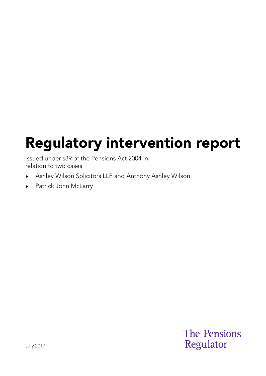# Regulatory intervention report

Issued under s89 of the Pensions Act 2004 in relation to two cases:

- Ashley Wilson Solicitors LLP and Anthony Ashley Wilson
- ▶ Patrick John McLarry

**The Pensions** Regulator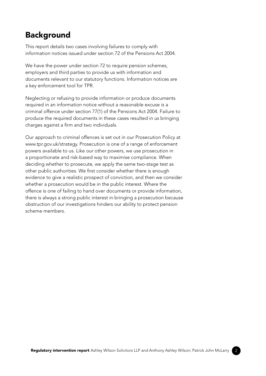#### Background

This report details two cases involving failures to comply with information notices issued under section 72 of the Pensions Act 2004.

We have the power under section 72 to require pension schemes, employers and third parties to provide us with information and documents relevant to our statutory functions. Information notices are a key enforcement tool for TPR.

Neglecting or refusing to provide information or produce documents required in an information notice without a reasonable excuse is a criminal offence under section 77(1) of the Pensions Act 2004. Failure to produce the required documents in these cases resulted in us bringing charges against a firm and two individuals.

Our approach to criminal offences is set out in our Prosecution Policy at www.tpr.gov.uk/strategy. Prosecution is one of a range of enforcement powers available to us. Like our other powers, we use prosecution in a proportionate and risk-based way to maximise compliance. When deciding whether to prosecute, we apply the same two-stage test as other public authorities. We first consider whether there is enough evidence to give a realistic prospect of conviction, and then we consider whether a prosecution would be in the public interest. Where the offence is one of failing to hand over documents or provide information, there is always a strong public interest in bringing a prosecution because obstruction of our investigations hinders our ability to protect pension scheme members.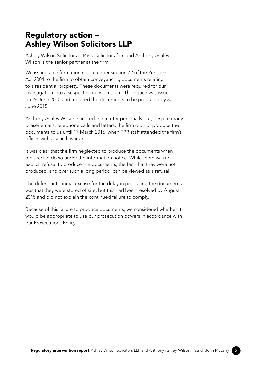#### Regulatory action – Ashley Wilson Solicitors LLP

Ashley Wilson Solicitors LLP is a solicitors firm and Anthony Ashley Wilson is the senior partner at the firm.

We issued an information notice under section 72 of the Pensions Act 2004 to the firm to obtain conveyancing documents relating to a residential property. These documents were required for our investigation into a suspected pension scam. The notice was issued on 26 June 2015 and required the documents to be produced by 30 June 2015.

Anthony Ashley Wilson handled the matter personally but, despite many chaser emails, telephone calls and letters, the firm did not produce the documents to us until 17 March 2016, when TPR staff attended the firm's offices with a search warrant.

It was clear that the firm neglected to produce the documents when required to do so under the information notice. While there was no explicit refusal to produce the documents, the fact that they were not produced, and over such a long period, can be viewed as a refusal.

The defendants' initial excuse for the delay in producing the documents was that they were stored offsite, but this had been resolved by August 2015 and did not explain the continued failure to comply.

Because of this failure to produce documents, we considered whether it would be appropriate to use our prosecution powers in accordance with our Prosecutions Policy.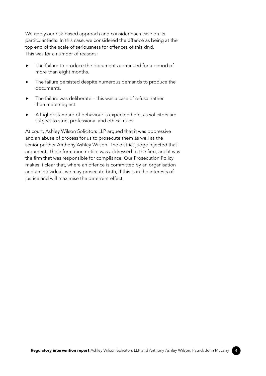We apply our risk-based approach and consider each case on its particular facts. In this case, we considered the offence as being at the top end of the scale of seriousness for offences of this kind. This was for a number of reasons:

- $\triangleright$  The failure to produce the documents continued for a period of more than eight months.
- $\blacktriangleright$  The failure persisted despite numerous demands to produce the documents.
- $\triangleright$  The failure was deliberate this was a case of refusal rather than mere neglect.
- A higher standard of behaviour is expected here, as solicitors are subject to strict professional and ethical rules.

At court, Ashley Wilson Solicitors LLP argued that it was oppressive and an abuse of process for us to prosecute them as well as the senior partner Anthony Ashley Wilson. The district judge rejected that argument. The information notice was addressed to the firm, and it was the firm that was responsible for compliance. Our Prosecution Policy makes it clear that, where an offence is committed by an organisation and an individual, we may prosecute both, if this is in the interests of justice and will maximise the deterrent effect.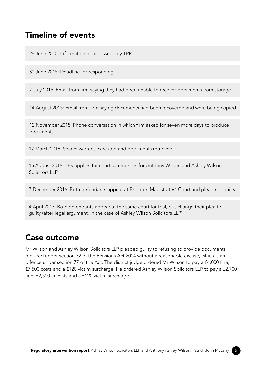#### Timeline of events



#### Case outcome

Mr Wilson and Ashley Wilson Solicitors LLP pleaded guilty to refusing to provide documents required under section 72 of the Pensions Act 2004 without a reasonable excuse, which is an offence under section 77 of the Act. The district judge ordered Mr Wilson to pay a £4,000 fine, £7,500 costs and a £120 victim surcharge. He ordered Ashley Wilson Solicitors LLP to pay a £2,700 fine, £2,500 in costs and a £120 victim surcharge.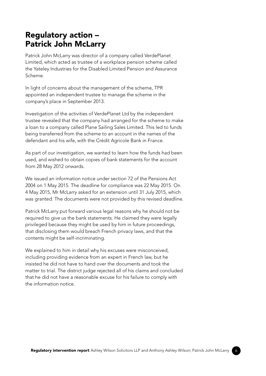## Regulatory action – Patrick John McLarry

Patrick John McLarry was director of a company called VerdePlanet Limited, which acted as trustee of a workplace pension scheme called the Yateley Industries for the Disabled Limited Pension and Assurance Scheme.

In light of concerns about the management of the scheme, TPR appointed an independent trustee to manage the scheme in the company's place in September 2013.

Investigation of the activities of VerdePlanet Ltd by the independent trustee revealed that the company had arranged for the scheme to make a loan to a company called Plane Sailing Sales Limited. This led to funds being transferred from the scheme to an account in the names of the defendant and his wife, with the Crédit Agricole Bank in France.

As part of our investigation, we wanted to learn how the funds had been used, and wished to obtain copies of bank statements for the account from 28 May 2012 onwards.

We issued an information notice under section 72 of the Pensions Act 2004 on 1 May 2015. The deadline for compliance was 22 May 2015. On 4 May 2015, Mr McLarry asked for an extension until 31 July 2015, which was granted. The documents were not provided by this revised deadline.

Patrick McLarry put forward various legal reasons why he should not be required to give us the bank statements. He claimed they were legally privileged because they might be used by him in future proceedings, that disclosing them would breach French privacy laws, and that the contents might be self-incriminating.

We explained to him in detail why his excuses were misconceived, including providing evidence from an expert in French law, but he insisted he did not have to hand over the documents and took the matter to trial. The district judge rejected all of his claims and concluded that he did not have a reasonable excuse for his failure to comply with the information notice.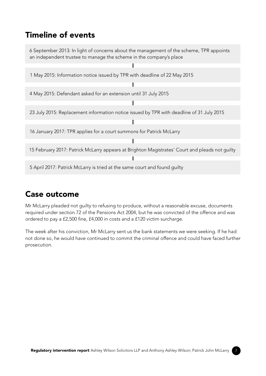# Timeline of events



# Case outcome

Mr McLarry pleaded not guilty to refusing to produce, without a reasonable excuse, documents required under section 72 of the Pensions Act 2004, but he was convicted of the offence and was ordered to pay a £2,500 fine, £4,000 in costs and a £120 victim surcharge.

The week after his conviction, Mr McLarry sent us the bank statements we were seeking. If he had not done so, he would have continued to commit the criminal offence and could have faced further prosecution.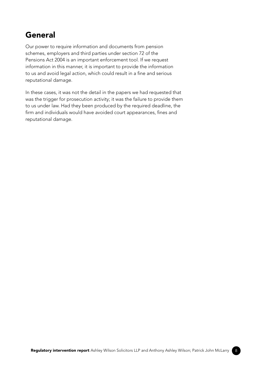## General

Our power to require information and documents from pension schemes, employers and third parties under section 72 of the Pensions Act 2004 is an important enforcement tool. If we request information in this manner, it is important to provide the information to us and avoid legal action, which could result in a fine and serious reputational damage.

In these cases, it was not the detail in the papers we had requested that was the trigger for prosecution activity; it was the failure to provide them to us under law. Had they been produced by the required deadline, the firm and individuals would have avoided court appearances, fines and reputational damage.